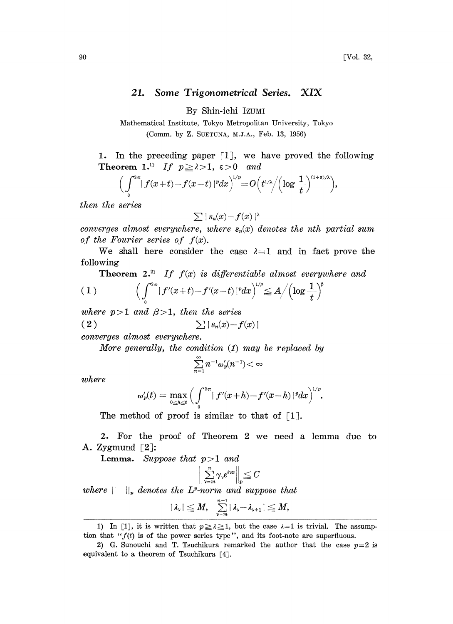## 21. Some Trigonometrical Series. XIX

By Shin-iehi IZUMI

Mathematical Institute, Tokyo Metropolitan University, Tokyo (Comm. by Z. SUETUNA, M.J.A., Feb. 13, 1956)

1. In the preceding paper  $[1]$ , we have proved the following Theorem 1.<sup>1)</sup> If  $p \ge \lambda > 1$ ,  $\varepsilon > 0$  and

$$
\Big(\int\limits_0^{2\pi}\lvert\,f(x+t)-f(x-t)\,\rvert^p dx\Big)^{\!\!\!1/p}\!=\!O\Big(t^{1/\lambda}\!\Big/\!\Big(\!\log\frac1t\Big)^{\!(1+\varepsilon)/\lambda}\!\Big),
$$

then the series

$$
\sum \mid s_n(x) - f(x) \mid^{\lambda}
$$

converges almost everywhere, where  $s_n(x)$  denotes the nth partial sum of the Fourier series of  $f(x)$ .

We shall here consider the case  $\lambda = 1$  and in fact prove the following

**Theorem 2.**<sup>2)</sup> If 
$$
f(x)
$$
 is differentiable almost everywhere and  
\n(1) 
$$
\left(\int_{0}^{2\pi} |f'(x+t) - f'(x-t)|^p dx\right)^{1/p} \leq A / \left(\log \frac{1}{t}\right)^p
$$

where  $p > 1$  and  $\beta > 1$ , then the series  $(2)$  $\sum |s_n(x)-f(x)|$ 

converges almost everywhere.

More generally, the condition (1) may be replaced by

$$
\sum_{n=1}^{\infty} n^{-1} \omega'_p(n^{-1}) < \infty
$$

where

$$
\omega_p'(t)=\max_{0\leq h\leq t}\Big(\int_0^{2\pi}\mid f'(x+h)-f'(x-h)\mid^p\!\!dx\Big)^{\!\!1/p}.
$$

The method of proof is similar to that of  $\lceil 1 \rceil$ .

2. For the proof of Theorem 2 we need a lemma due to A. Zygmund  $[2]$ :

Lemma. Suppose that  $p > 1$  and

$$
\sum_{\nu=m}^n \gamma_{\nu} e^{i\nu x}\Big\|_p\leqq C
$$

where  $|| \cdot ||_p$  denotes the L<sup>p</sup>-norm and suppose that

$$
|\lambda_{\nu}|\leq M,\quad \sum_{\nu=m}^{n-1}|\lambda_{\nu}-\lambda_{\nu+1}|\leq M,
$$

<sup>1)</sup> In [1], it is written that  $p \ge \lambda \ge 1$ , but the case  $\lambda =1$  is trivial. The assumption that " $f(t)$  is of the power series type", and its foot-note are superfluous.

<sup>2)</sup> G. Sunouchi and T. Tsuchikura remarked the author that the case  $p=2$  is equivalent to a theorem of Tsuchikura [4].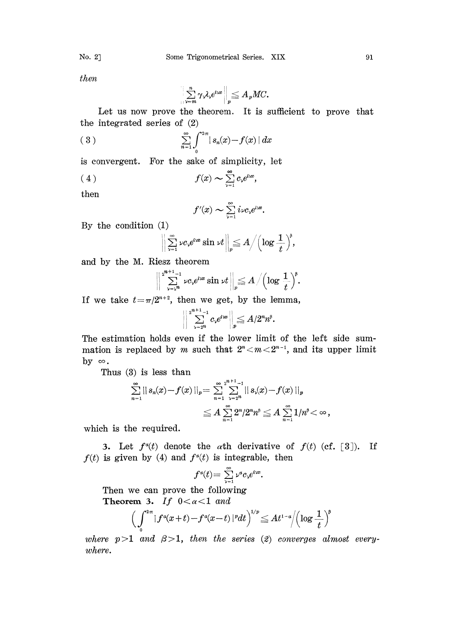then

$$
\bigg\|\sum_{\nu=m}^n\gamma_\nu\lambda_\nu e^{i\nu x}\bigg\|_p\leqq A_p M C.
$$

Let us now prove the theorem. It is sufficient to prove that he integrated series of (2)

(3) 
$$
\sum_{n=1}^{\infty} \int_{0}^{2\pi} |s_n(x) - f(x)| dx
$$

is convergent. For the sake of simplicity, let

$$
(4) \t f(x) \sim \sum_{\nu=1}^{\infty} c_{\nu} e^{i\nu x},
$$

then

$$
f'(x) \sim \sum_{\nu=1}^{\infty} i\nu c_{\nu} e^{i\nu x}.
$$

By the condition  $(1)$ 

$$
\bigg\|\sum_{\nu=1}^\infty \nu c_\nu e^{i\nu x} \sin \nu t\bigg\|_p \leqq A \bigg/ \Big(\log \frac{1}{t}\Big)^{\!s},
$$

and by the M. Riesz theorem

$$
\bigg\|\sum_{\nu=\mathfrak{z}^{\boldsymbol{n}}}^{\mathfrak{z}^{\boldsymbol{n}+1}-1}\nu c_{\nu}e^{\iota\mathfrak{z}^{\boldsymbol{n}}}\sin\nu t\bigg\|_{p}\!\!\leq\!A\,\Big/\Big(\!\log\,\frac{1}{t}\Big)^{\!\!\beta}.
$$

If we take  $t=\pi/2^{n+2}$ , then we get, by the lemma,

$$
\bigg\|\sum_{\nu=2^n}^{2^{n+1}-1}c_\nu e^{i\nu x}\bigg\|_p\leq A/2^nn^{\beta}.
$$

The estimation holds even if the lower limit of the left side summation is replaced by m such that  $2^n$  <  $m$  <  $2^{n-1}$ , and its upper limit by  $\infty$ .

Thus  $(3)$  is less than

$$
\sum_{n=1}^{\infty} ||s_n(x) - f(x)||_p = \sum_{n=1}^{\infty} \sum_{\nu=2^n}^{2^{n+1}-1} ||s_{\nu}(x) - f(x)||_p
$$
  

$$
\leq A \sum_{n=1}^{\infty} 2^n/2^n n^3 \leq A \sum_{n=1}^{\infty} 1/n^3 < \infty,
$$

which is the required.

3. Let  $f^{\alpha}(t)$  denote the  $\alpha$ th derivative of  $f(t)$  (cf. [8]). If  $f(t)$  is given by (4) and  $f^{\alpha}(t)$  is integrable, then

$$
f^{\alpha}(t) = \sum_{\nu=1}^{\infty} \nu^a c_{\nu} e^{i \nu x}.
$$

Then we can prove the following Theorem 3. If  $0 < \alpha < 1$  and

$$
\Big(\int_{0}^{2\pi}|f^{\scriptscriptstyle a}(x+t)-f^{\scriptscriptstyle a}(x-t)\,|^{\scriptscriptstyle p}dt\Big)^{\!\!1/p}\!\leq\!At^{1-\mathfrak{a}}\!\Big/\!\Big(\!\log\frac{1}{t}\Big)^{\!\!\mathfrak{b}}
$$

where  $p > 1$  and  $\beta > 1$ , then the series (2) converges almost everywhere.